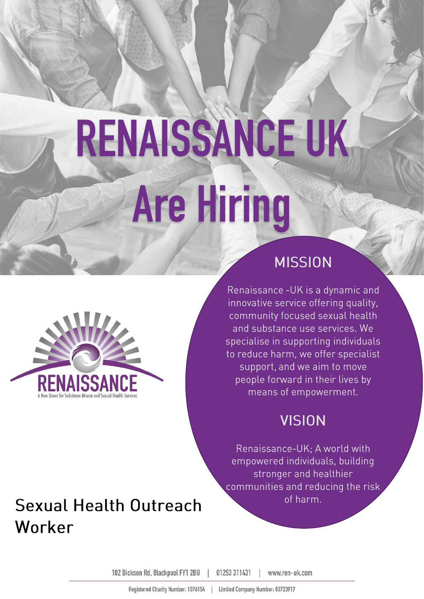# RENAISSANCE UK **Are Hiring**



### **MISSION**

Renaissance - UK is a dynamic and innovative service offering quality, community focused sexual health and substance use services. We specialise in supporting individuals to reduce harm, we offer specialist support, and we aim to move people forward in their lives by means of empowerment.

### **VISION**

Renaissance-UK; A world with empowered individuals, building stronger and healthier communities and reducing the risk of harm.

# **Sexual Health Outreach** Worker

102 Dickson Rd. Blackpool FY1 2BU 01253 311431 www.ren-uk.com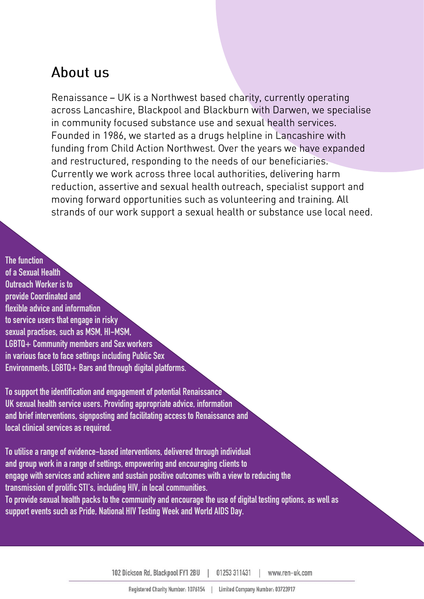### About us

Renaissance – UK is a Northwest based charity, currently operating across Lancashire, Blackpool and Blackburn with Darwen, we specialise in community focused substance use and sexual health services. Founded in 1986, we started as a drugs helpline in Lancashire with funding from Child Action Northwest. Over the years we have expanded and restructured, responding to the needs of our beneficiaries. Currently we work across three local authorities, delivering harm reduction, assertive and sexual health outreach, specialist support and moving forward opportunities such as volunteering and training. All strands of our work support a sexual health or substance use local need.

**The function of a Sexual Health Outreach Worker is to provide Coordinated and flexible advice and information to service users that engage in risky sexual practises, such as MSM, HI-MSM, LGBTQ+ Community members and Sex workers in various face to face settings including Public Sex Environments, LGBTQ+ Bars and through digital platforms.**

**To support the identification and engagement of potential Renaissance UK sexual health service users. Providing appropriate advice, information and brief interventions, signposting and facilitating access to Renaissance and local clinical services as required.** 

**To utilise a range of evidence-based interventions, delivered through individual and group work in a range of settings, empowering and encouraging clients to engage with services and achieve and sustain positive outcomes with a view to reducingthe transmission of prolific STI's, including HIV, in local communities. To provide sexual health packs to the community and encourage the use of digital testing options, as well as support events such as Pride, National HIV Testing Week and World AIDS Day.**

> 102 Dickson Rd. Blackpool FY1 2BU 01253 311431 www.ren-uk.com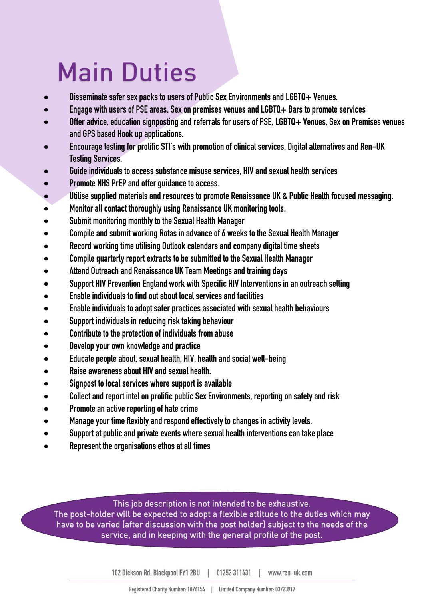# **Main Duties**

- **Disseminate safer sex packs to users of Public Sex Environments and LGBTQ+ Venues.**
- **Engage with users of PSE areas, Sex on premises venues and LGBTQ+ Bars to promote services**
- **Offer advice, education signposting and referrals for users of PSE, LGBTQ+ Venues, Sex on Premises venues and GPS based Hook up applications.**
- **Encourage testing for prolific STI's with promotion of clinical services, Digital alternatives and Ren-UK Testing Services.**
- **Guide individuals to access substance misuse services, HIV and sexual health services**
- **Promote NHS PrEP and offer guidance to access.**
- **Utilise supplied materials and resources to promote Renaissance UK & Public Health focused messaging.**
- **Monitor all contact thoroughly using Renaissance UK monitoring tools.**
- **Submit monitoring monthly to the Sexual Health Manager**
- **Compile and submit working Rotas in advance of 6 weeks to the Sexual Health Manager**
- **Record working time utilising Outlook calendars and company digital time sheets**
- **Compile quarterly report extracts to be submitted to the Sexual Health Manager**
- **Attend Outreach and Renaissance UK Team Meetings and training days**
- **Support HIV Prevention England work with Specific HIV Interventions in an outreach setting**
- **Enable individuals to find out about local services and facilities**
- **Enable individuals to adopt safer practices associated with sexual health behaviours**
- **Support individuals in reducing risk taking behaviour**
- **Contribute to the protection of individuals from abuse**
- **Develop your own knowledge and practice**
- **Educate people about, sexual health, HIV, health and social well-being**
- **Raise awareness about HIV and sexual health.**
- **Signpost to local services where support is available**
- **Collect and report intel on prolific public Sex Environments, reporting on safety and risk**
- **Promote an active reporting of hate crime**
- **Manage your time flexibly and respond effectively to changes in activity levels.**
- **Support at public and private events where sexual health interventions can take place**
- **Represent the organisations ethos at all times**

This job description is not intended to be exhaustive.<br>The post-holder will be expected to adopt a flexible attitude to the duties which may have to be varied (after discussion with the post holder) subject to the needs of the have to be varied (after and capacity with the post metally) subject to the needs of the needs of the needs of the needs of the needs of the needs of the needs of the needs of the needs of the needs of the needs of the nee service, and in keeping with the general profile of the post.

102 Dickson Rd. Blackpool FY1 2BU | 01253 311431 | www.ren-uk.com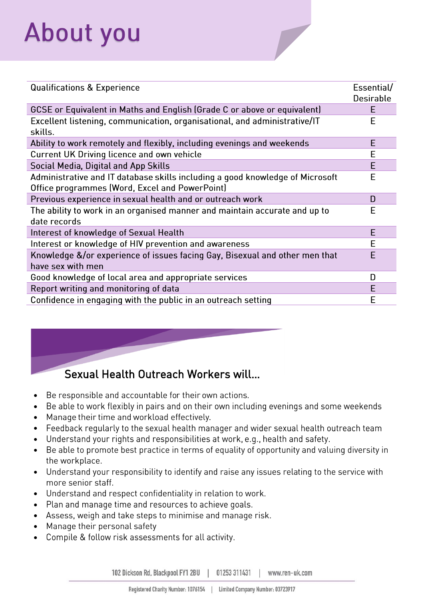# **About you**

| <b>Qualifications &amp; Experience</b>                                               | Essential/<br><b>Desirable</b> |
|--------------------------------------------------------------------------------------|--------------------------------|
| GCSE or Equivalent in Maths and English (Grade C or above or equivalent)             | Е                              |
| Excellent listening, communication, organisational, and administrative/IT<br>skills. | E                              |
| Ability to work remotely and flexibly, including evenings and weekends               | E                              |
| Current UK Driving licence and own vehicle                                           | E                              |
| Social Media, Digital and App Skills                                                 | E                              |
| Administrative and IT database skills including a good knowledge of Microsoft        | E                              |
| Office programmes (Word, Excel and PowerPoint)                                       |                                |
| Previous experience in sexual health and or outreach work                            | D                              |
| The ability to work in an organised manner and maintain accurate and up to           | E                              |
| date records                                                                         |                                |
| Interest of knowledge of Sexual Health                                               | E                              |
| Interest or knowledge of HIV prevention and awareness                                | E                              |
| Knowledge &/or experience of issues facing Gay, Bisexual and other men that          | E                              |
| have sex with men                                                                    |                                |
| Good knowledge of local area and appropriate services                                | D                              |
| Report writing and monitoring of data                                                | E                              |
| Confidence in engaging with the public in an outreach setting                        | E                              |



#### Sexual Health Outreach Workers will... Sexual Health Outreach Workers will…

- Be responsible and accountable for their own actions.
- Be able to work flexibly in pairs and on their own including evenings and some weekends •
- Manage their time and workload effectively. •
- Feedback regularly to the sexual health manager and wider sexual health outreach team •
- Understand your rights and responsibilities at work, e.g., health and safety. •
- Be able to promote best practice in terms of equality of opportunity and valuing diversity in • the workplace.
- Understand your responsibility to identify and raise any issues relating to the service with more senior staff.
- Understand and respect confidentiality in relation to work. •
- Plan and manage time and resources to achieve goals. •
- Assess, weigh and take steps to minimise and manage risk. •
- Manage their personal safety •
- Compile & follow risk assessments for all activity. •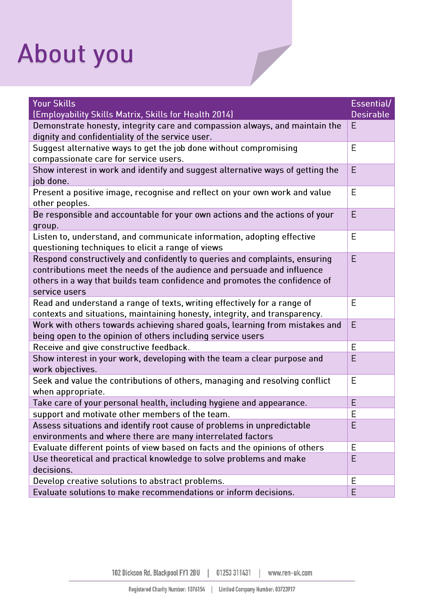# About you

| <b>Your Skills</b><br>(Employability Skills Matrix, Skills for Health 2014)                                                                                                                                                                          | Essential/<br><b>Desirable</b> |
|------------------------------------------------------------------------------------------------------------------------------------------------------------------------------------------------------------------------------------------------------|--------------------------------|
| Demonstrate honesty, integrity care and compassion always, and maintain the<br>dignity and confidentiality of the service user.                                                                                                                      | Ε                              |
| Suggest alternative ways to get the job done without compromising<br>compassionate care for service users.                                                                                                                                           | E                              |
| Show interest in work and identify and suggest alternative ways of getting the<br>job done.                                                                                                                                                          | E                              |
| Present a positive image, recognise and reflect on your own work and value<br>other peoples.                                                                                                                                                         | E                              |
| Be responsible and accountable for your own actions and the actions of your<br>group.                                                                                                                                                                | E                              |
| Listen to, understand, and communicate information, adopting effective<br>questioning techniques to elicit a range of views                                                                                                                          | E                              |
| Respond constructively and confidently to queries and complaints, ensuring<br>contributions meet the needs of the audience and persuade and influence<br>others in a way that builds team confidence and promotes the confidence of<br>service users | E                              |
| Read and understand a range of texts, writing effectively for a range of<br>contexts and situations, maintaining honesty, integrity, and transparency.                                                                                               | E                              |
| Work with others towards achieving shared goals, learning from mistakes and<br>being open to the opinion of others including service users                                                                                                           | E                              |
| Receive and give constructive feedback.                                                                                                                                                                                                              | E                              |
| Show interest in your work, developing with the team a clear purpose and<br>work objectives.                                                                                                                                                         | E                              |
| Seek and value the contributions of others, managing and resolving conflict<br>when appropriate.                                                                                                                                                     | E                              |
| Take care of your personal health, including hygiene and appearance.                                                                                                                                                                                 | E                              |
| support and motivate other members of the team.                                                                                                                                                                                                      | E                              |
| Assess situations and identify root cause of problems in unpredictable<br>environments and where there are many interrelated factors                                                                                                                 | Ε                              |
| Evaluate different points of view based on facts and the opinions of others                                                                                                                                                                          | E                              |
| Use theoretical and practical knowledge to solve problems and make<br>decisions.                                                                                                                                                                     | E                              |
| Develop creative solutions to abstract problems.                                                                                                                                                                                                     | Ε                              |
| Evaluate solutions to make recommendations or inform decisions.                                                                                                                                                                                      | E                              |

102 Dickson Rd, Blackpool FY1 2BU 01253 311431 www.ren-uk.com  $\overline{\phantom{a}}$